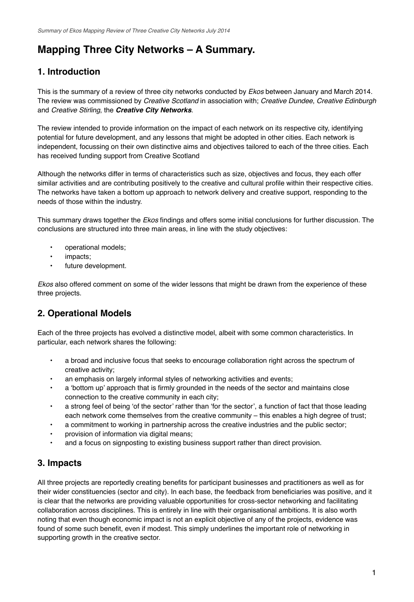# **Mapping Three City Networks – A Summary.**

## **1. Introduction**

This is the summary of a review of three city networks conducted by *Ekos* between January and March 2014. The review was commissioned by *Creative Scotland* in association with; *Creative Dundee*, *Creative Edinburgh* and *Creative Stirling*, the *Creative City Networks*.

The review intended to provide information on the impact of each network on its respective city, identifying potential for future development, and any lessons that might be adopted in other cities. Each network is independent, focussing on their own distinctive aims and objectives tailored to each of the three cities. Each has received funding support from Creative Scotland

Although the networks differ in terms of characteristics such as size, objectives and focus, they each offer similar activities and are contributing positively to the creative and cultural profile within their respective cities. The networks have taken a bottom up approach to network delivery and creative support, responding to the needs of those within the industry.

This summary draws together the *Ekos* findings and offers some initial conclusions for further discussion. The conclusions are structured into three main areas, in line with the study objectives:

- operational models;
- impacts;
- future development.

*Ekos* also offered comment on some of the wider lessons that might be drawn from the experience of these three projects.

### **2. Operational Models**

Each of the three projects has evolved a distinctive model, albeit with some common characteristics. In particular, each network shares the following:

- a broad and inclusive focus that seeks to encourage collaboration right across the spectrum of creative activity;
- an emphasis on largely informal styles of networking activities and events;
- a 'bottom up' approach that is firmly grounded in the needs of the sector and maintains close connection to the creative community in each city;
- a strong feel of being 'of the sector' rather than 'for the sector', a function of fact that those leading each network come themselves from the creative community – this enables a high degree of trust;
- a commitment to working in partnership across the creative industries and the public sector;
- provision of information via digital means;
- and a focus on signposting to existing business support rather than direct provision.

### **3. Impacts**

All three projects are reportedly creating benefits for participant businesses and practitioners as well as for their wider constituencies (sector and city). In each base, the feedback from beneficiaries was positive, and it is clear that the networks are providing valuable opportunities for cross-sector networking and facilitating collaboration across disciplines. This is entirely in line with their organisational ambitions. It is also worth noting that even though economic impact is not an explicit objective of any of the projects, evidence was found of some such benefit, even if modest. This simply underlines the important role of networking in supporting growth in the creative sector.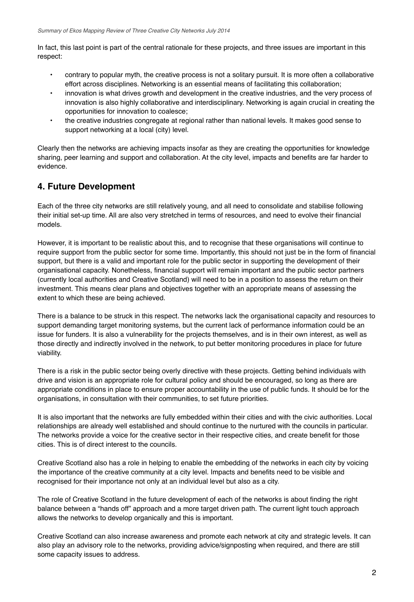In fact, this last point is part of the central rationale for these projects, and three issues are important in this respect:

- contrary to popular myth, the creative process is not a solitary pursuit. It is more often a collaborative effort across disciplines. Networking is an essential means of facilitating this collaboration;
- innovation is what drives growth and development in the creative industries, and the very process of innovation is also highly collaborative and interdisciplinary. Networking is again crucial in creating the opportunities for innovation to coalesce;
- the creative industries congregate at regional rather than national levels. It makes good sense to support networking at a local (city) level.

Clearly then the networks are achieving impacts insofar as they are creating the opportunities for knowledge sharing, peer learning and support and collaboration. At the city level, impacts and benefits are far harder to evidence.

### **4. Future Development**

Each of the three city networks are still relatively young, and all need to consolidate and stabilise following their initial set-up time. All are also very stretched in terms of resources, and need to evolve their financial models.

However, it is important to be realistic about this, and to recognise that these organisations will continue to require support from the public sector for some time. Importantly, this should not just be in the form of financial support, but there is a valid and important role for the public sector in supporting the development of their organisational capacity. Nonetheless, financial support will remain important and the public sector partners (currently local authorities and Creative Scotland) will need to be in a position to assess the return on their investment. This means clear plans and objectives together with an appropriate means of assessing the extent to which these are being achieved.

There is a balance to be struck in this respect. The networks lack the organisational capacity and resources to support demanding target monitoring systems, but the current lack of performance information could be an issue for funders. It is also a vulnerability for the projects themselves, and is in their own interest, as well as those directly and indirectly involved in the network, to put better monitoring procedures in place for future viability.

There is a risk in the public sector being overly directive with these projects. Getting behind individuals with drive and vision is an appropriate role for cultural policy and should be encouraged, so long as there are appropriate conditions in place to ensure proper accountability in the use of public funds. It should be for the organisations, in consultation with their communities, to set future priorities.

It is also important that the networks are fully embedded within their cities and with the civic authorities. Local relationships are already well established and should continue to the nurtured with the councils in particular. The networks provide a voice for the creative sector in their respective cities, and create benefit for those cities. This is of direct interest to the councils.

Creative Scotland also has a role in helping to enable the embedding of the networks in each city by voicing the importance of the creative community at a city level. Impacts and benefits need to be visible and recognised for their importance not only at an individual level but also as a city.

The role of Creative Scotland in the future development of each of the networks is about finding the right balance between a "hands off" approach and a more target driven path. The current light touch approach allows the networks to develop organically and this is important.

Creative Scotland can also increase awareness and promote each network at city and strategic levels. It can also play an advisory role to the networks, providing advice/signposting when required, and there are still some capacity issues to address.